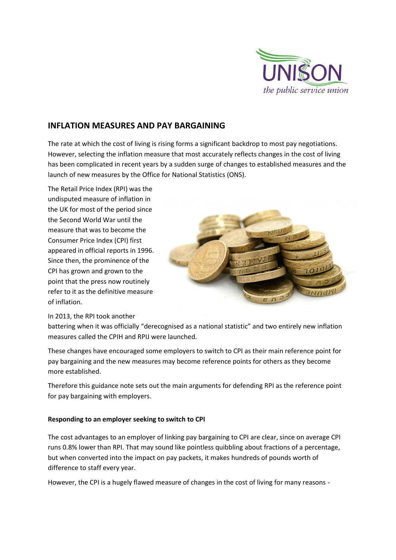

# **INFLATION MEASURES AND PAY BARGAINING**

The rate at which the cost of living is rising forms a significant backdrop to most pay negotiations. However, selecting the inflation measure that most accurately reflects changes in the cost of living has been complicated in recent years by a sudden surge of changes to established measures and the launch of new measures by the Office for National Statistics (ONS).

The Retail Price Index (RPI) was the undisputed measure of inflation in the UK for most of the period since the Second World War until the measure that was to become the Consumer Price Index (CPI) first appeared in official reports in 1996. Since then, the prominence of the CPI has grown and grown to the point that the press now routinely refer to it as the definitive measure of inflation.



#### In 2013, the RPI took another

battering when it was officially "derecognised as a national statistic" and two entirely new inflation measures called the CPIH and RPIJ were launched.

These changes have encouraged some employers to switch to CPI as their main reference point for pay bargaining and the new measures may become reference points for others as they become more established.

Therefore this guidance note sets out the main arguments for defending RPI as the reference point for pay bargaining with employers.

## **Responding to an employer seeking to switch to CPI**

The cost advantages to an employer of linking pay bargaining to CPI are clear, since on average CPI runs 0.8% lower than RPI. That may sound like pointless quibbling about fractions of a percentage, but when converted into the impact on pay packets, it makes hundreds of pounds worth of difference to staff every year.

However, the CPI is a hugely flawed measure of changes in the cost of living for many reasons -